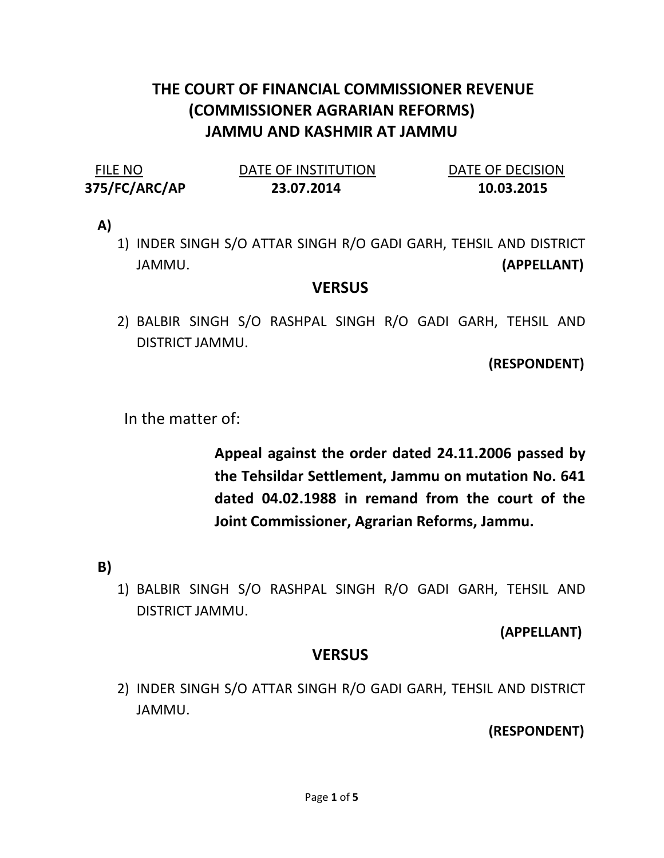# THE COURT OF FINANCIAL COMMISSIONER REVENUE (COMMISSIONER AGRARIAN REFORMS) JAMMU AND KASHMIR AT JAMMU

| FILE NO       | DATE OF INSTITUTION | DATE OF DECISION |
|---------------|---------------------|------------------|
| 375/FC/ARC/AP | 23.07.2014          | 10.03.2015       |

A)

1) INDER SINGH S/O ATTAR SINGH R/O GADI GARH, TEHSIL AND DISTRICT JAMMU. (APPELLANT)

#### **VERSUS**

2) BALBIR SINGH S/O RASHPAL SINGH R/O GADI GARH, TEHSIL AND DISTRICT JAMMU.

(RESPONDENT)

In the matter of:

Appeal against the order dated 24.11.2006 passed by the Tehsildar Settlement, Jammu on mutation No. 641 dated 04.02.1988 in remand from the court of the Joint Commissioner, Agrarian Reforms, Jammu.

## B)

1) BALBIR SINGH S/O RASHPAL SINGH R/O GADI GARH, TEHSIL AND DISTRICT JAMMU.

#### (APPELLANT)

## **VERSUS**

2) INDER SINGH S/O ATTAR SINGH R/O GADI GARH, TEHSIL AND DISTRICT JAMMU.

(RESPONDENT)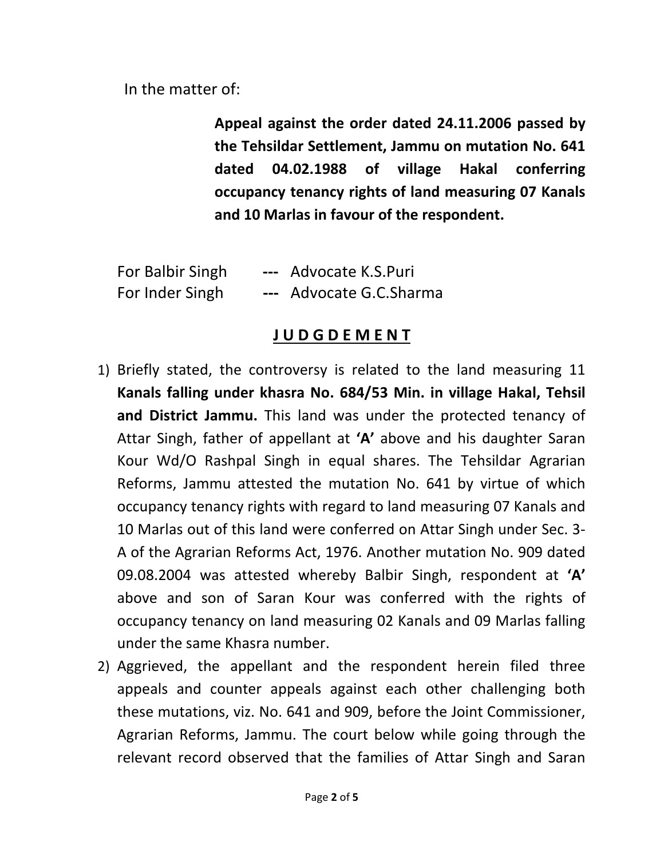In the matter of:

Appeal against the order dated 24.11.2006 passed by the Tehsildar Settlement, Jammu on mutation No. 641 dated 04.02.1988 of village Hakal conferring occupancy tenancy rights of land measuring 07 Kanals and 10 Marlas in favour of the respondent.

| For Balbir Singh | --- Advocate K.S.Puri   |
|------------------|-------------------------|
| For Inder Singh  | --- Advocate G.C.Sharma |

## J U D G D E M E N T

- 1) Briefly stated, the controversy is related to the land measuring 11 Kanals falling under khasra No. 684/53 Min. in village Hakal, Tehsil and District Jammu. This land was under the protected tenancy of Attar Singh, father of appellant at 'A' above and his daughter Saran Kour Wd/O Rashpal Singh in equal shares. The Tehsildar Agrarian Reforms, Jammu attested the mutation No. 641 by virtue of which occupancy tenancy rights with regard to land measuring 07 Kanals and 10 Marlas out of this land were conferred on Attar Singh under Sec. 3- A of the Agrarian Reforms Act, 1976. Another mutation No. 909 dated 09.08.2004 was attested whereby Balbir Singh, respondent at 'A' above and son of Saran Kour was conferred with the rights of occupancy tenancy on land measuring 02 Kanals and 09 Marlas falling under the same Khasra number.
- 2) Aggrieved, the appellant and the respondent herein filed three appeals and counter appeals against each other challenging both these mutations, viz. No. 641 and 909, before the Joint Commissioner, Agrarian Reforms, Jammu. The court below while going through the relevant record observed that the families of Attar Singh and Saran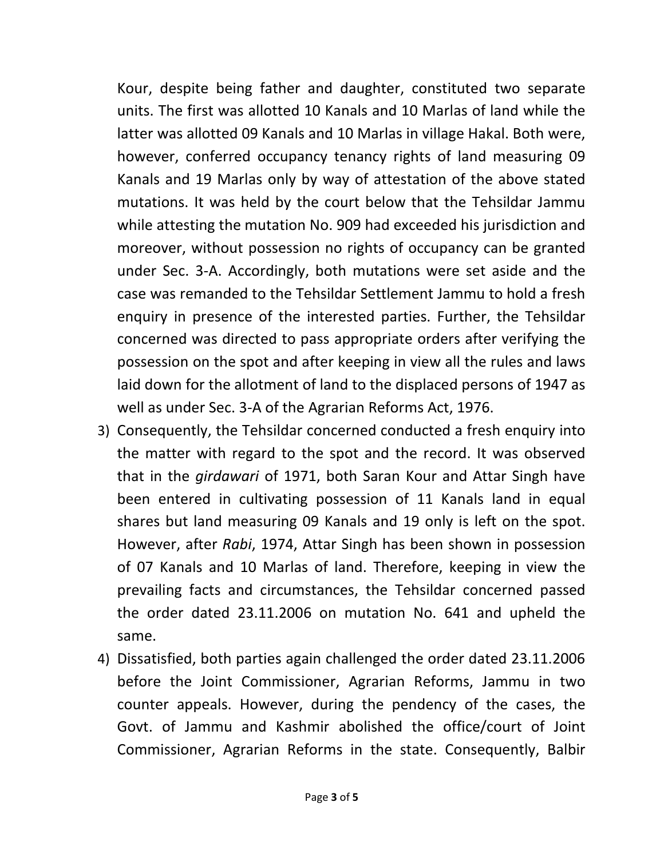Kour, despite being father and daughter, constituted two separate units. The first was allotted 10 Kanals and 10 Marlas of land while the latter was allotted 09 Kanals and 10 Marlas in village Hakal. Both were, however, conferred occupancy tenancy rights of land measuring 09 Kanals and 19 Marlas only by way of attestation of the above stated mutations. It was held by the court below that the Tehsildar Jammu while attesting the mutation No. 909 had exceeded his jurisdiction and moreover, without possession no rights of occupancy can be granted under Sec. 3-A. Accordingly, both mutations were set aside and the case was remanded to the Tehsildar Settlement Jammu to hold a fresh enquiry in presence of the interested parties. Further, the Tehsildar concerned was directed to pass appropriate orders after verifying the possession on the spot and after keeping in view all the rules and laws laid down for the allotment of land to the displaced persons of 1947 as well as under Sec. 3-A of the Agrarian Reforms Act, 1976.

- 3) Consequently, the Tehsildar concerned conducted a fresh enquiry into the matter with regard to the spot and the record. It was observed that in the girdawari of 1971, both Saran Kour and Attar Singh have been entered in cultivating possession of 11 Kanals land in equal shares but land measuring 09 Kanals and 19 only is left on the spot. However, after Rabi, 1974, Attar Singh has been shown in possession of 07 Kanals and 10 Marlas of land. Therefore, keeping in view the prevailing facts and circumstances, the Tehsildar concerned passed the order dated 23.11.2006 on mutation No. 641 and upheld the same.
- 4) Dissatisfied, both parties again challenged the order dated 23.11.2006 before the Joint Commissioner, Agrarian Reforms, Jammu in two counter appeals. However, during the pendency of the cases, the Govt. of Jammu and Kashmir abolished the office/court of Joint Commissioner, Agrarian Reforms in the state. Consequently, Balbir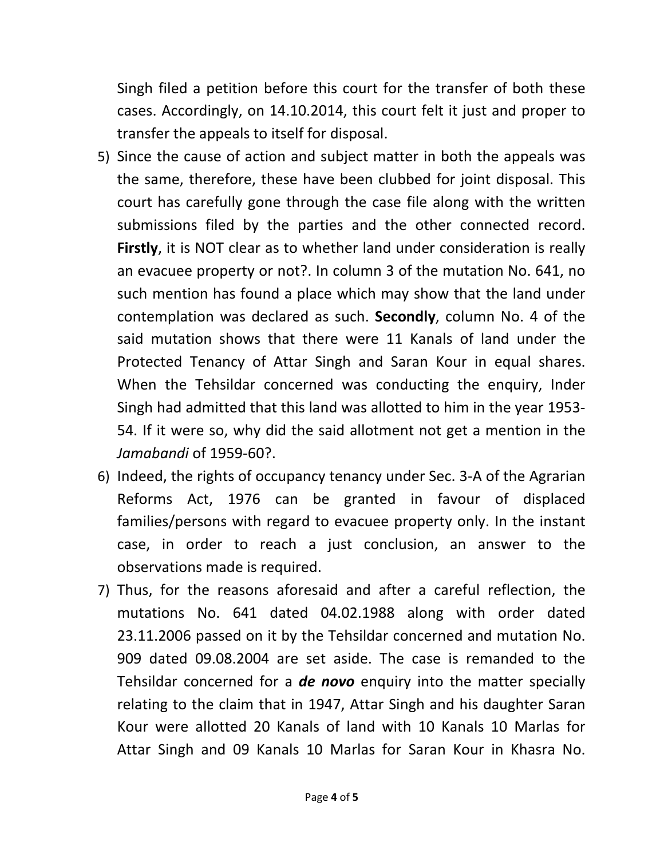Singh filed a petition before this court for the transfer of both these cases. Accordingly, on 14.10.2014, this court felt it just and proper to transfer the appeals to itself for disposal.

- 5) Since the cause of action and subject matter in both the appeals was the same, therefore, these have been clubbed for joint disposal. This court has carefully gone through the case file along with the written submissions filed by the parties and the other connected record. Firstly, it is NOT clear as to whether land under consideration is really an evacuee property or not?. In column 3 of the mutation No. 641, no such mention has found a place which may show that the land under contemplation was declared as such. Secondly, column No. 4 of the said mutation shows that there were 11 Kanals of land under the Protected Tenancy of Attar Singh and Saran Kour in equal shares. When the Tehsildar concerned was conducting the enquiry, Inder Singh had admitted that this land was allotted to him in the year 1953- 54. If it were so, why did the said allotment not get a mention in the Jamabandi of 1959-60?.
- 6) Indeed, the rights of occupancy tenancy under Sec. 3-A of the Agrarian Reforms Act, 1976 can be granted in favour of displaced families/persons with regard to evacuee property only. In the instant case, in order to reach a just conclusion, an answer to the observations made is required.
- 7) Thus, for the reasons aforesaid and after a careful reflection, the mutations No. 641 dated 04.02.1988 along with order dated 23.11.2006 passed on it by the Tehsildar concerned and mutation No. 909 dated 09.08.2004 are set aside. The case is remanded to the Tehsildar concerned for a **de novo** enquiry into the matter specially relating to the claim that in 1947, Attar Singh and his daughter Saran Kour were allotted 20 Kanals of land with 10 Kanals 10 Marlas for Attar Singh and 09 Kanals 10 Marlas for Saran Kour in Khasra No.